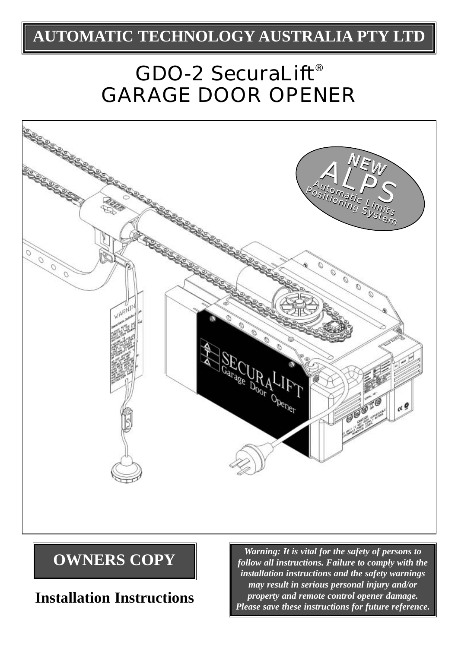### **AUTOMATIC TECHNOLOGY AUSTRALIA PTY LTD**

# GDO-2 SecuraLift® GARAGE DOOR OPENER



**Installation Instructions**

**OWNERS COPY** *Warning: It is vital for the safety of persons to**follow all instructions. Failure to comply with th follow all instructions. Failure to comply with the installation instructions and the safety warnings may result in serious personal injury and/or property and remote control opener damage. Please save these instructions for future reference.*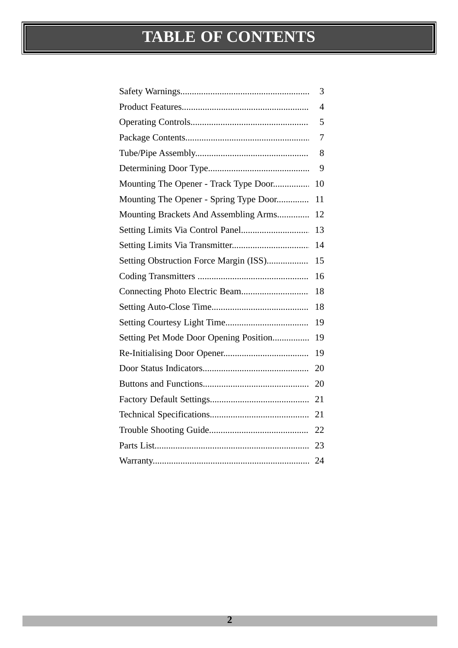# **TABLE OF CONTENTS**

|                                        | 3              |
|----------------------------------------|----------------|
|                                        | $\overline{4}$ |
|                                        | 5              |
|                                        | 7              |
|                                        | 8              |
|                                        | 9              |
| Mounting The Opener - Track Type Door  | 10             |
| Mounting The Opener - Spring Type Door | 11             |
| Mounting Brackets And Assembling Arms  | 12             |
| Setting Limits Via Control Panel       | 13             |
|                                        | 14             |
| Setting Obstruction Force Margin (ISS) | 15             |
|                                        | 16             |
|                                        | 18             |
|                                        | 18             |
|                                        | 19             |
| Setting Pet Mode Door Opening Position | 19             |
|                                        | 19             |
|                                        | 20             |
|                                        | 20             |
|                                        | 21             |
|                                        | 21             |
|                                        | 22             |
|                                        | 23             |
|                                        | 24             |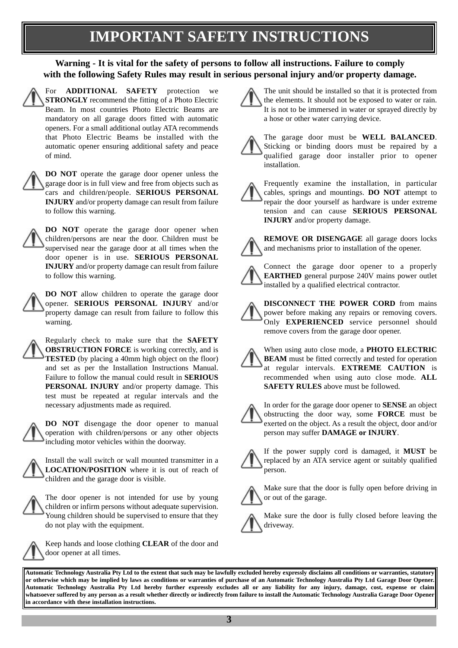### **IMPORTANT SAFETY INSTRUCTIONS**

#### **Warning - It is vital for the safety of persons to follow all instructions. Failure to comply with the following Safety Rules may result in serious personal injury and/or property damage.**

For **ADDITIONAL SAFETY** protection we **STRONGLY** recommend the fitting of a Photo Electric Beam. In most countries Photo Electric Beams are mandatory on all garage doors fitted with automatic openers. For a small additional outlay ATA recommends that Photo Electric Beams be installed with the automatic opener ensuring additional safety and peace of mind.

**DO NOT** operate the garage door opener unless the garage door is in full view and free from objects such as cars and children/people. **SERIOUS PERSONAL INJURY** and/or property damage can result from failure to follow this warning.

**DO NOT** operate the garage door opener when children/persons are near the door. Children must be supervised near the garage door at all times when the door opener is in use. **SERIOUS PERSONAL INJURY** and/or property damage can result from failure to follow this warning.

**DO NOT** allow children to operate the garage door opener. **SERIOUS PERSONAL INJUR**Y and/or property damage can result from failure to follow this warning.

Regularly check to make sure that the **SAFETY OBSTRUCTION FORCE** is working correctly, and is **TESTED** (by placing a 40mm high object on the floor) and set as per the Installation Instructions Manual. Failure to follow the manual could result in **SERIOUS PERSONAL INJURY** and/or property damage. This test must be repeated at regular intervals and the necessary adjustments made as required.

**DO NOT** disengage the door opener to manual operation with children/persons or any other objects including motor vehicles within the doorway.

Install the wall switch or wall mounted transmitter in a **LOCATION/POSITION** where it is out of reach of children and the garage door is visible.

The door opener is not intended for use by young children or infirm persons without adequate supervision. Young children should be supervised to ensure that they do not play with the equipment.



Keep hands and loose clothing **CLEAR** of the door and door opener at all times.

The unit should be installed so that it is protected from the elements. It should not be exposed to water or rain. It is not to be immersed in water or sprayed directly by a hose or other water carrying device.

The garage door must be **WELL BALANCED**. Sticking or binding doors must be repaired by a qualified garage door installer prior to opener installation.

Frequently examine the installation, in particular cables, springs and mountings. **DO NOT** attempt to repair the door yourself as hardware is under extreme tension and can cause **SERIOUS PERSONAL INJURY** and/or property damage.



**REMOVE OR DISENGAGE** all garage doors locks and mechanisms prior to installation of the opener.

Connect the garage door opener to a properly **EARTHED** general purpose 240V mains power outlet installed by a qualified electrical contractor.

**DISCONNECT THE POWER CORD** from mains power before making any repairs or removing covers. Only **EXPERIENCED** service personnel should remove covers from the garage door opener.

When using auto close mode, a **PHOTO ELECTRIC BEAM** must be fitted correctly and tested for operation at regular intervals. **EXTREME CAUTION** is recommended when using auto close mode. **ALL SAFETY RULES** above must be followed.

In order for the garage door opener to **SENSE** an object obstructing the door way, some **FORCE** must be exerted on the object. As a result the object, door and/or person may suffer **DAMAGE or INJURY**.



If the power supply cord is damaged, it **MUST** be replaced by an ATA service agent or suitably qualified person.



Make sure that the door is fully open before driving in or out of the garage.

Make sure the door is fully closed before leaving the driveway.

**Automatic Technology Australia Pty Ltd to the extent that such may be lawfully excluded hereby expressly disclaims all conditions or warranties, statutory or otherwise which may be implied by laws as conditions or warranties of purchase of an Automatic Technology Australia Pty Ltd Garage Door Opener. Automatic Technology Australia Pty Ltd hereby further expressly excludes all or any liability for any injury, damage, cost, expense or claim whatsoever suffered by any person as a result whether directly or indirectly from failure to install the Automatic Technology Australia Garage Door Opener in accordance with these installation instructions.**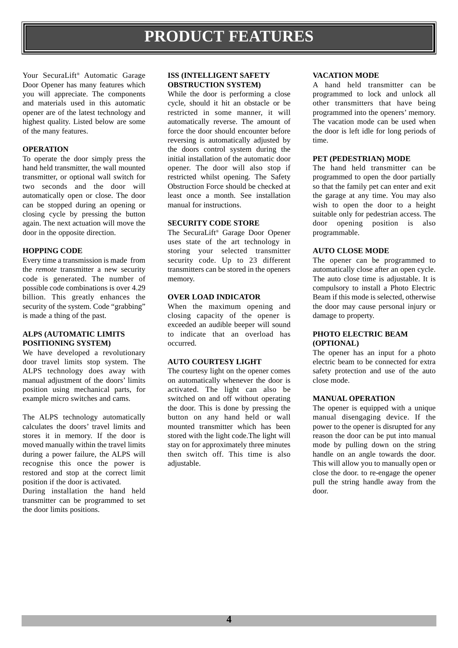Your SecuraLift® Automatic Garage Door Opener has many features which you will appreciate. The components and materials used in this automatic opener are of the latest technology and highest quality. Listed below are some of the many features.

#### **OPERATION**

To operate the door simply press the hand held transmitter, the wall mounted transmitter, or optional wall switch for two seconds and the door will automatically open or close. The door can be stopped during an opening or closing cycle by pressing the button again. The next actuation will move the door in the opposite direction.

#### **HOPPING CODE**

Every time a transmission is made from the *remote* transmitter a new security code is generated. The number of possible code combinations is over 4.29 billion. This greatly enhances the security of the system. Code "grabbing" is made a thing of the past.

#### **ALPS (AUTOMATIC LIMITS POSITIONING SYSTEM)**

We have developed a revolutionary door travel limits stop system. The ALPS technology does away with manual adjustment of the doors' limits position using mechanical parts, for example micro switches and cams.

The ALPS technology automatically calculates the doors' travel limits and stores it in memory. If the door is moved manually within the travel limits during a power failure, the ALPS will recognise this once the power is restored and stop at the correct limit position if the door is activated.

During installation the hand held transmitter can be programmed to set the door limits positions.

#### **ISS (INTELLIGENT SAFETY OBSTRUCTION SYSTEM)**

While the door is performing a close cycle, should it hit an obstacle or be restricted in some manner, it will automatically reverse. The amount of force the door should encounter before reversing is automatically adjusted by the doors control system during the initial installation of the automatic door opener. The door will also stop if restricted whilst opening. The Safety Obstruction Force should be checked at least once a month. See installation manual for instructions.

#### **SECURITY CODE STORE**

The SecuraLift® Garage Door Opener uses state of the art technology in storing your selected transmitter security code. Up to 23 different transmitters can be stored in the openers memory.

#### **OVER LOAD INDICATOR**

When the maximum opening and closing capacity of the opener is exceeded an audible beeper will sound to indicate that an overload has occurred.

#### **AUTO COURTESY LIGHT**

The courtesy light on the opener comes on automatically whenever the door is activated. The light can also be switched on and off without operating the door. This is done by pressing the button on any hand held or wall mounted transmitter which has been stored with the light code.The light will stay on for approximately three minutes then switch off. This time is also adjustable.

#### **VACATION MODE**

A hand held transmitter can be programmed to lock and unlock all other transmitters that have being programmed into the openers' memory. The vacation mode can be used when the door is left idle for long periods of time.

#### **PET (PEDESTRIAN) MODE**

The hand held transmitter can be programmed to open the door partially so that the family pet can enter and exit the garage at any time. You may also wish to open the door to a height suitable only for pedestrian access. The door opening position is also programmable.

#### **AUTO CLOSE MODE**

The opener can be programmed to automatically close after an open cycle. The auto close time is adjustable. It is compulsory to install a Photo Electric Beam if this mode is selected, otherwise the door may cause personal injury or damage to property.

#### **PHOTO ELECTRIC BEAM (OPTIONAL)**

The opener has an input for a photo electric beam to be connected for extra safety protection and use of the auto close mode.

#### **MANUAL OPERATION**

The opener is equipped with a unique manual disengaging device. If the power to the opener is disrupted for any reason the door can be put into manual mode by pulling down on the string handle on an angle towards the door. This will allow you to manually open or close the door. to re-engage the opener pull the string handle away from the door.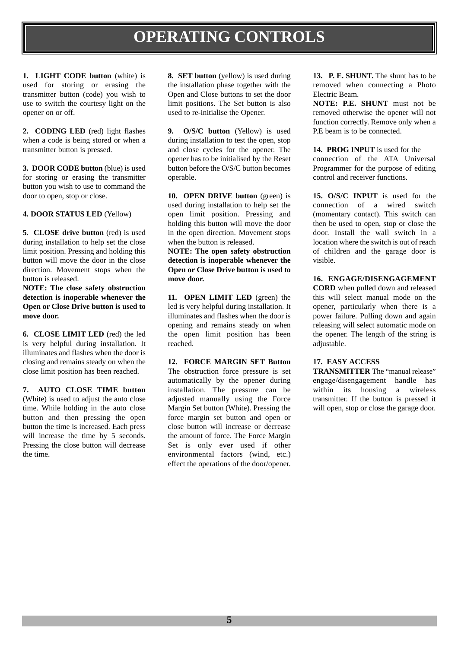### **OPERATING CONTROLS**

**1. LIGHT CODE button** (white) is used for storing or erasing the transmitter button (code) you wish to use to switch the courtesy light on the opener on or off.

**2. CODING LED** (red) light flashes when a code is being stored or when a transmitter button is pressed.

**3. DOOR CODE button** (blue) is used for storing or erasing the transmitter button you wish to use to command the door to open, stop or close.

**4. DOOR STATUS LED** (Yellow)

**5. CLOSE drive button** (red) is used during installation to help set the close limit position. Pressing and holding this button will move the door in the close direction. Movement stops when the button is released.

**NOTE: The close safety obstruction detection is inoperable whenever the Open or Close Drive button is used to move door.**

**6. CLOSE LIMIT LED** (red) the led is very helpful during installation. It illuminates and flashes when the door is closing and remains steady on when the close limit position has been reached.

**7. AUTO CLOSE TIME button** (White) is used to adjust the auto close time. While holding in the auto close button and then pressing the open button the time is increased. Each press will increase the time by 5 seconds. Pressing the close button will decrease the time.

**8. SET button** (yellow) is used during the installation phase together with the Open and Close buttons to set the door limit positions. The Set button is also used to re-initialise the Opener.

**9. O/S/C button** (Yellow) is used during installation to test the open, stop and close cycles for the opener. The opener has to be initialised by the Reset button before the O/S/C button becomes operable.

10. **OPEN DRIVE button** (green) is used during installation to help set the open limit position. Pressing and holding this button will move the door in the open direction. Movement stops when the button is released.

**NOTE: The open safety obstruction detection is inoperable whenever the Open or Close Drive button is used to move door.**

**11. OPEN LIMIT LED** (green) the led is very helpful during installation. It illuminates and flashes when the door is opening and remains steady on when the open limit position has been reached.

**12. FORCE MARGIN SET Button**

The obstruction force pressure is set automatically by the opener during installation. The pressure can be adjusted manually using the Force Margin Set button (White). Pressing the force margin set button and open or close button will increase or decrease the amount of force. The Force Margin Set is only ever used if other environmental factors (wind, etc.) effect the operations of the door/opener.

13. P. E. SHUNT. The shunt has to be removed when connecting a Photo Electric Beam.

**NOTE: P.E. SHUNT** must not be removed otherwise the opener will not function correctly. Remove only when a P.E beam is to be connected.

**14. PROG INPUT** is used for the connection of the ATA Universal Programmer for the purpose of editing control and receiver functions.

**15. O/S/C INPUT** is used for the connection of a wired switch (momentary contact). This switch can then be used to open, stop or close the door. Install the wall switch in a location where the switch is out of reach of children and the garage door is visible.

**16. ENGAGE/DISENGAGEMENT**

**CORD** when pulled down and released this will select manual mode on the opener, particularly when there is a power failure. Pulling down and again releasing will select automatic mode on the opener. The length of the string is adjustable.

#### **17. EASY ACCESS**

**TRANSMITTER** The "manual release" engage/disengagement handle has within its housing a wireless transmitter. If the button is pressed it will open, stop or close the garage door.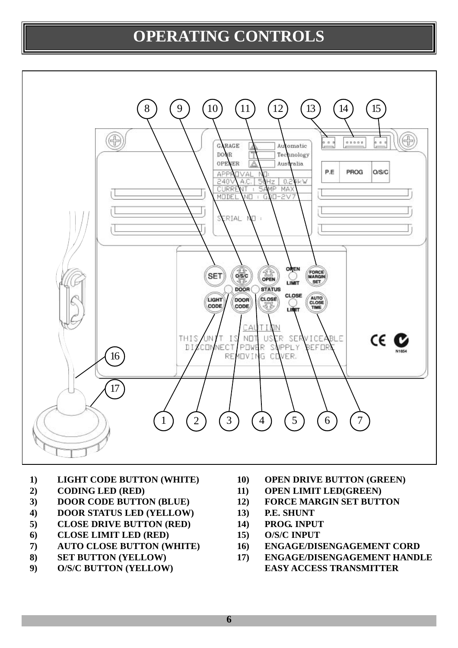### **OPERATING CONTROLS**



- **1) LIGHT CODE BUTTON (WHITE)**
- **2) CODING LED (RED)**
- **3) DOOR CODE BUTTON (BLUE)**
- **4) DOOR STATUS LED (YELLOW)**
- **5) CLOSE DRIVE BUTTON (RED)**
- **6) CLOSE LIMIT LED (RED)**
- **7) AUTO CLOSE BUTTON (WHITE)**
- **8) SET BUTTON (YELLOW)**
- **9) O/S/C BUTTON (YELLOW)**
- **10) OPEN DRIVE BUTTON (GREEN)**
- **11) OPEN LIMIT LED(GREEN)**
- **12) FORCE MARGIN SET BUTTON**
- **13) P.E. SHUNT**
- **14) PROG. INPUT**
- **15) O/S/C INPUT**
- **16) ENGAGE/DISENGAGEMENT CORD**
- **17) ENGAGE/DISENGAGEMENT HANDLE EASY ACCESS TRANSMITTER**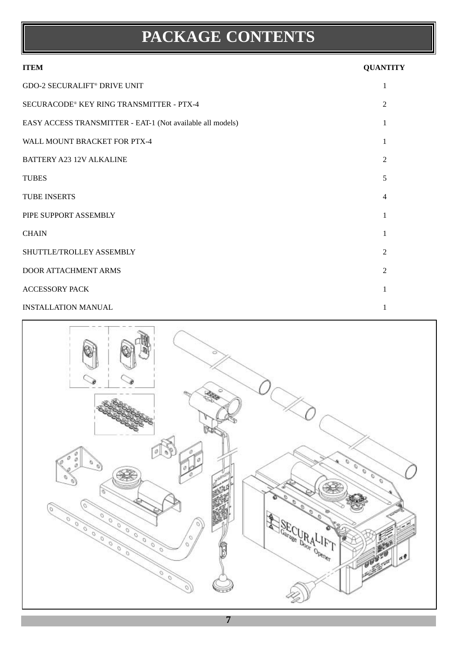# **PACKAGE CONTENTS**

| <b>ITEM</b>                                                | <b>QUANTITY</b> |
|------------------------------------------------------------|-----------------|
| <b>GDO-2 SECURALIFT® DRIVE UNIT</b>                        | 1               |
| SECURACODE <sup>®</sup> KEY RING TRANSMITTER - PTX-4       | $\mathfrak{D}$  |
| EASY ACCESS TRANSMITTER - EAT-1 (Not available all models) |                 |
| WALL MOUNT BRACKET FOR PTX-4                               | 1               |
| <b>BATTERY A23 12V ALKALINE</b>                            | $\overline{2}$  |
| <b>TUBES</b>                                               | 5               |
| <b>TUBE INSERTS</b>                                        | 4               |
| PIPE SUPPORT ASSEMBLY                                      |                 |
| <b>CHAIN</b>                                               | 1               |
| SHUTTLE/TROLLEY ASSEMBLY                                   | $\overline{2}$  |
| DOOR ATTACHMENT ARMS                                       | $\overline{2}$  |
| <b>ACCESSORY PACK</b>                                      |                 |
| <b>INSTALLATION MANUAL</b>                                 |                 |

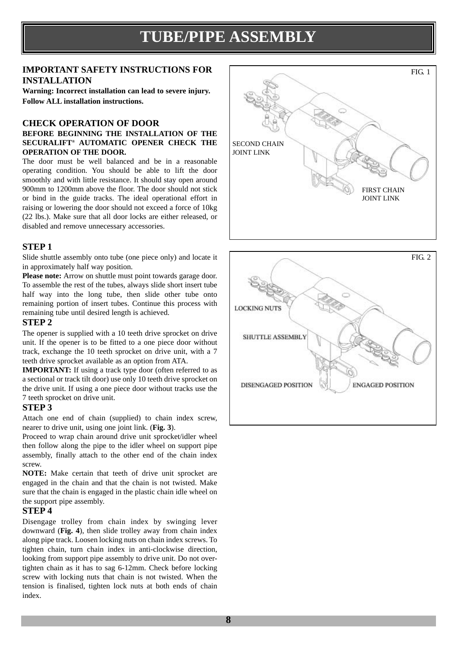### **TUBE/PIPE ASSEMBLY**

#### **IMPORTANT SAFETY INSTRUCTIONS FOR INSTALLATION**

**Warning: Incorrect installation can lead to severe injury. Follow ALL installation instructions.**

#### **CHECK OPERATION OF DOOR**

#### **BEFORE BEGINNING THE INSTALLATION OF THE SECURALIFT® AUTOMATIC OPENER CHECK THE OPERATION OF THE DOOR.**

The door must be well balanced and be in a reasonable operating condition. You should be able to lift the door smoothly and with little resistance. It should stay open around 900mm to 1200mm above the floor. The door should not stick or bind in the guide tracks. The ideal operational effort in raising or lowering the door should not exceed a force of 10kg (22 lbs.). Make sure that all door locks are either released, or disabled and remove unnecessary accessories.

#### **STEP 1**

Slide shuttle assembly onto tube (one piece only) and locate it in approximately half way position.

Please note: Arrow on shuttle must point towards garage door. To assemble the rest of the tubes, always slide short insert tube half way into the long tube, then slide other tube onto remaining portion of insert tubes. Continue this process with remaining tube until desired length is achieved.

#### **STEP 2**

The opener is supplied with a 10 teeth drive sprocket on drive unit. If the opener is to be fitted to a one piece door without track, exchange the 10 teeth sprocket on drive unit, with a 7 teeth drive sprocket available as an option from ATA.

**IMPORTANT:** If using a track type door (often referred to as a sectional or track tilt door) use only 10 teeth drive sprocket on the drive unit. If using a one piece door without tracks use the 7 teeth sprocket on drive unit.

#### **STEP 3**

Attach one end of chain (supplied) to chain index screw, nearer to drive unit, using one joint link. (**Fig. 3**).

Proceed to wrap chain around drive unit sprocket/idler wheel then follow along the pipe to the idler wheel on support pipe assembly, finally attach to the other end of the chain index screw.

**NOTE:** Make certain that teeth of drive unit sprocket are engaged in the chain and that the chain is not twisted. Make sure that the chain is engaged in the plastic chain idle wheel on the support pipe assembly.

#### **STEP 4**

Disengage trolley from chain index by swinging lever downward (**Fig. 4**), then slide trolley away from chain index along pipe track. Loosen locking nuts on chain index screws. To tighten chain, turn chain index in anti-clockwise direction, looking from support pipe assembly to drive unit. Do not overtighten chain as it has to sag 6-12mm. Check before locking screw with locking nuts that chain is not twisted. When the tension is finalised, tighten lock nuts at both ends of chain index.



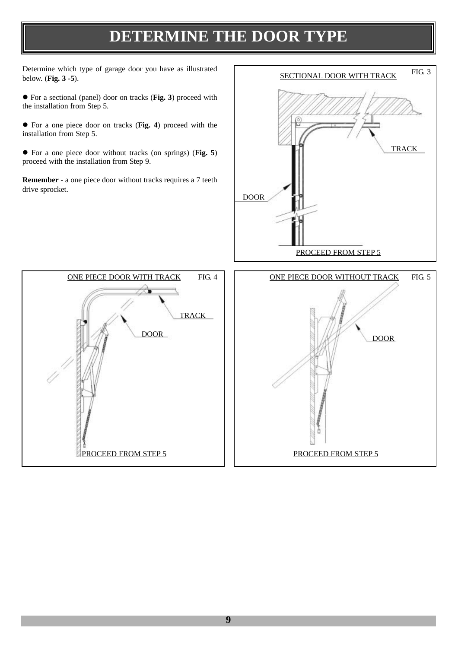### **DETERMINE THE DOOR TYPE**

Determine which type of garage door you have as illustrated below. (**Fig. 3 -5**).

● For a sectional (panel) door on tracks (**Fig. 3**) proceed with the installation from Step 5.

• For a one piece door on tracks (Fig. 4) proceed with the installation from Step 5.

• For a one piece door without tracks (on springs) (Fig. 5) proceed with the installation from Step 9.

**Remember** - a one piece door without tracks requires a 7 teeth drive sprocket.





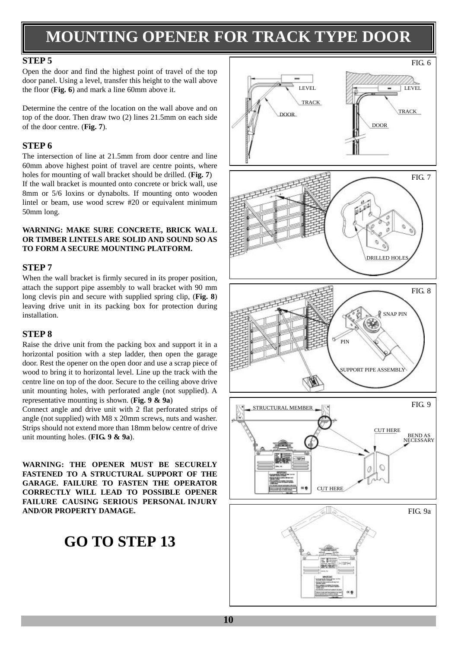### **MOUNTING OPENER FOR TRACK TYPE DOOR**

#### **STEP 5**

Open the door and find the highest point of travel of the top door panel. Using a level, transfer this height to the wall above the floor (**Fig. 6**) and mark a line 60mm above it.

Determine the centre of the location on the wall above and on top of the door. Then draw two (2) lines 21.5mm on each side of the door centre. (**Fig. 7**).

#### **STEP 6**

The intersection of line at 21.5mm from door centre and line 60mm above highest point of travel are centre points, where holes for mounting of wall bracket should be drilled. (**Fig. 7**) If the wall bracket is mounted onto concrete or brick wall, use 8mm or 5/6 loxins or dynabolts. If mounting onto wooden lintel or beam, use wood screw #20 or equivalent minimum 50mm long.

#### **WARNING: MAKE SURE CONCRETE, BRICK WALL OR TIMBER LINTELS ARE SOLID AND SOUND SO AS TO FORM A SECURE MOUNTING PLATFORM.**

#### **STEP 7**

When the wall bracket is firmly secured in its proper position, attach the support pipe assembly to wall bracket with 90 mm long clevis pin and secure with supplied spring clip, (**Fig. 8**) leaving drive unit in its packing box for protection during installation.

#### **STEP 8**

Raise the drive unit from the packing box and support it in a horizontal position with a step ladder, then open the garage door. Rest the opener on the open door and use a scrap piece of wood to bring it to horizontal level. Line up the track with the centre line on top of the door. Secure to the ceiling above drive unit mounting holes, with perforated angle (not supplied). A representative mounting is shown. (**Fig. 9 & 9a**)

Connect angle and drive unit with 2 flat perforated strips of angle (not supplied) with M8 x 20mm screws, nuts and washer. Strips should not extend more than 18mm below centre of drive unit mounting holes. (**FIG. 9 & 9a**).

**WARNING: THE OPENER MUST BE SECURELY FASTENED TO A STRUCTURAL SUPPORT OF THE GARAGE. FAILURE TO FASTEN THE OPERATOR CORRECTLY WILL LEAD TO POSSIBLE OPENER FAILURE CAUSING SERIOUS PERSONAL INJURY AND/OR PROPERTY DAMAGE.**

### **GO TO STEP 13**

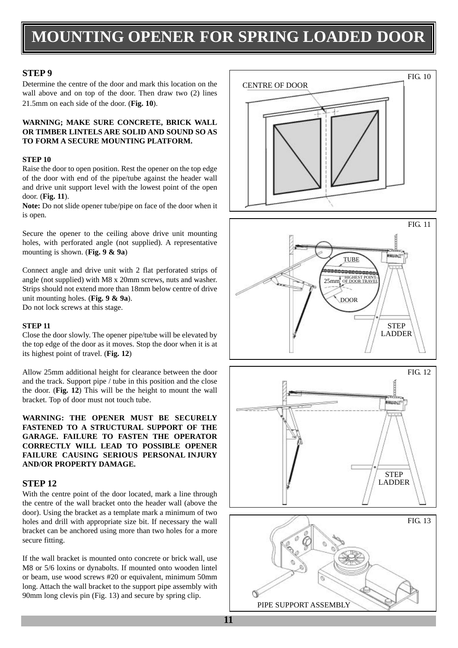### **MOUNTING OPENER FOR SPRING LOADED DOOR**

#### **STEP 9**

Determine the centre of the door and mark this location on the wall above and on top of the door. Then draw two  $(2)$  lines 21.5mm on each side of the door. (**Fig. 10**).

#### **WARNING; MAKE SURE CONCRETE, BRICK WALL OR TIMBER LINTELS ARE SOLID AND SOUND SO AS TO FORM A SECURE MOUNTING PLATFORM.**

#### **STEP 10**

Raise the door to open position. Rest the opener on the top edge of the door with end of the pipe/tube against the header wall and drive unit support level with the lowest point of the open door. (**Fig. 11**).

**Note:** Do not slide opener tube/pipe on face of the door when it is open.

Secure the opener to the ceiling above drive unit mounting holes, with perforated angle (not supplied). A representative mounting is shown. (**Fig. 9 & 9a**)

Connect angle and drive unit with 2 flat perforated strips of angle (not supplied) with M8 x 20mm screws, nuts and washer. Strips should not extend more than 18mm below centre of drive unit mounting holes. (**Fig. 9 & 9a**). Do not lock screws at this stage.

#### **STEP 11**

Close the door slowly. The opener pipe/tube will be elevated by the top edge of the door as it moves. Stop the door when it is at its highest point of travel. (**Fig. 12**)

Allow 25mm additional height for clearance between the door and the track. Support pipe / tube in this position and the close the door. (**Fig. 12**) This will be the height to mount the wall bracket. Top of door must not touch tube.

**WARNING: THE OPENER MUST BE SECURELY FASTENED TO A STRUCTURAL SUPPORT OF THE GARAGE. FAILURE TO FASTEN THE OPERATOR CORRECTLY WILL LEAD TO POSSIBLE OPENER FAILURE CAUSING SERIOUS PERSONAL INJURY AND/OR PROPERTY DAMAGE.**

#### **STEP 12**

With the centre point of the door located, mark a line through the centre of the wall bracket onto the header wall (above the door). Using the bracket as a template mark a minimum of two holes and drill with appropriate size bit. If necessary the wall bracket can be anchored using more than two holes for a more secure fitting.

If the wall bracket is mounted onto concrete or brick wall, use M8 or 5/6 loxins or dynabolts. If mounted onto wooden lintel or beam, use wood screws #20 or equivalent, minimum 50mm long. Attach the wall bracket to the support pipe assembly with 90mm long clevis pin (Fig. 13) and secure by spring clip.







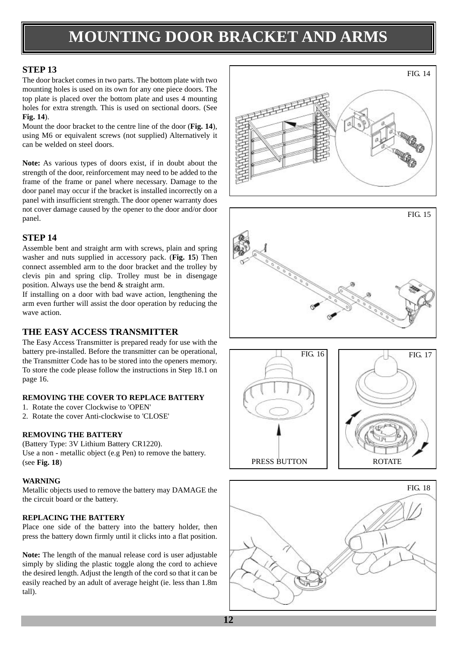### **MOUNTING DOOR BRACKET AND ARMS**

#### **STEP 13**

The door bracket comes in two parts. The bottom plate with two mounting holes is used on its own for any one piece doors. The top plate is placed over the bottom plate and uses 4 mounting holes for extra strength. This is used on sectional doors. (See **Fig. 14**).

Mount the door bracket to the centre line of the door (**Fig. 14**), using M6 or equivalent screws (not supplied) Alternatively it can be welded on steel doors.

**Note:** As various types of doors exist, if in doubt about the strength of the door, reinforcement may need to be added to the frame of the frame or panel where necessary. Damage to the door panel may occur if the bracket is installed incorrectly on a panel with insufficient strength. The door opener warranty does not cover damage caused by the opener to the door and/or door panel.

#### **STEP 14**

Assemble bent and straight arm with screws, plain and spring washer and nuts supplied in accessory pack. (**Fig. 15**) Then connect assembled arm to the door bracket and the trolley by clevis pin and spring clip. Trolley must be in disengage position. Always use the bend & straight arm.

If installing on a door with bad wave action, lengthening the arm even further will assist the door operation by reducing the wave action.

#### **THE EASY ACCESS TRANSMITTER**

The Easy Access Transmitter is prepared ready for use with the battery pre-installed. Before the transmitter can be operational, the Transmitter Code has to be stored into the openers memory. To store the code please follow the instructions in Step 18.1 on page 16.

#### **REMOVING THE COVER TO REPLACE BATTERY**

- 1. Rotate the cover Clockwise to 'OPEN'
- 2. Rotate the cover Anti-clockwise to 'CLOSE'

#### **REMOVING THE BATTERY**

(Battery Type: 3V Lithium Battery CR1220). Use a non - metallic object (e.g Pen) to remove the battery. (see **Fig. 18**)

#### **WARNING**

Metallic objects used to remove the battery may DAMAGE the the circuit board or the battery.

#### **REPLACING THE BATTERY**

Place one side of the battery into the battery holder, then press the battery down firmly until it clicks into a flat position.

**Note:** The length of the manual release cord is user adjustable simply by sliding the plastic toggle along the cord to achieve the desired length. Adjust the length of the cord so that it can be easily reached by an adult of average height (ie. less than 1.8m tall).









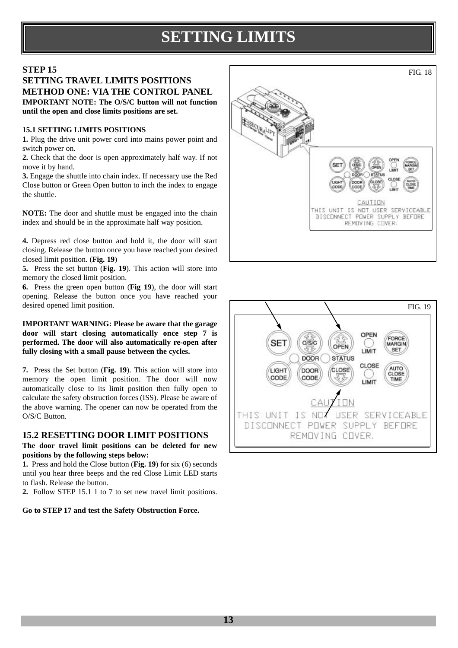# **SETTING LIMITS**

#### **STEP 15**

#### **SETTING TRAVEL LIMITS POSITIONS METHOD ONE: VIA THE CONTROL PANEL IMPORTANT NOTE: The O/S/C button will not function until the open and close limits positions are set.**

#### **15.1 SETTING LIMITS POSITIONS**

**1.** Plug the drive unit power cord into mains power point and switch power on.

**2.** Check that the door is open approximately half way. If not move it by hand.

**3.** Engage the shuttle into chain index. If necessary use the Red Close button or Green Open button to inch the index to engage the shuttle.

**NOTE:** The door and shuttle must be engaged into the chain index and should be in the approximate half way position.

**4.** Depress red close button and hold it, the door will start closing. Release the button once you have reached your desired closed limit position. (**Fig. 19**)

**5.** Press the set button (**Fig. 19**). This action will store into memory the closed limit position.

**6.** Press the green open button (**Fig 19**), the door will start opening. Release the button once you have reached your desired opened limit position.

**IMPORTANT WARNING: Please be aware that the garage door will start closing automatically once step 7 is performed. The door will also automatically re-open after fully closing with a small pause between the cycles.**

**7.** Press the Set button (**Fig. 19**). This action will store into memory the open limit position. The door will now automatically close to its limit position then fully open to calculate the safety obstruction forces (ISS). Please be aware of the above warning. The opener can now be operated from the O/S/C Button.

#### **15.2 RESETTING DOOR LIMIT POSITIONS**

**The door travel limit positions can be deleted for new positions by the following steps below:**

**1.** Press and hold the Close button (**Fig. 19**) for six (6) seconds until you hear three beeps and the red Close Limit LED starts to flash. Release the button.

**2.** Follow STEP 15.1 1 to 7 to set new travel limit positions.

#### **Go to STEP 17 and test the Safety Obstruction Force.**



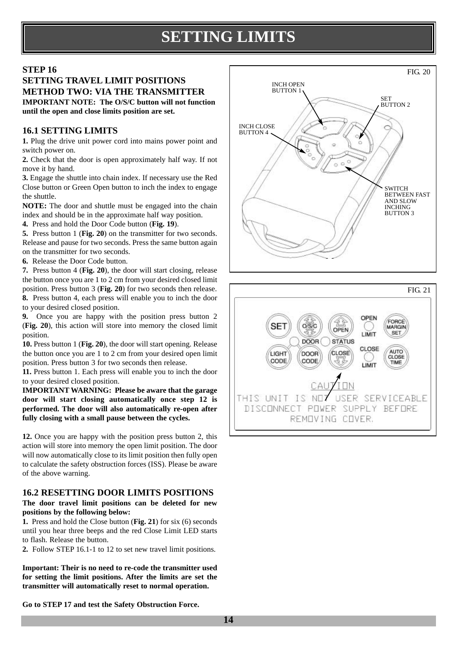### **SETTING LIMITS**

#### **STEP 16**

#### **SETTING TRAVEL LIMIT POSITIONS METHOD TWO: VIA THE TRANSMITTER IMPORTANT NOTE: The O/S/C button will not function until the open and close limits position are set.**

#### **16.1 SETTING LIMITS**

**1.** Plug the drive unit power cord into mains power point and switch power on.

**2.** Check that the door is open approximately half way. If not move it by hand.

**3.** Engage the shuttle into chain index. If necessary use the Red Close button or Green Open button to inch the index to engage the shuttle.

**NOTE:** The door and shuttle must be engaged into the chain index and should be in the approximate half way position.

**4.** Press and hold the Door Code button (**Fig. 19**).

**5.** Press button 1 (**Fig. 20**) on the transmitter for two seconds. Release and pause for two seconds. Press the same button again on the transmitter for two seconds.

**6.** Release the Door Code button.

**7.** Press button 4 (**Fig. 20**), the door will start closing, release the button once you are 1 to 2 cm from your desired closed limit position. Press button 3 (**Fig. 20**) for two seconds then release. **8.** Press button 4, each press will enable you to inch the door to your desired closed position.

**9.** Once you are happy with the position press button 2 (**Fig. 20**), this action will store into memory the closed limit position.

**10.** Press button 1 (**Fig. 20**), the door will start opening. Release the button once you are 1 to 2 cm from your desired open limit position. Press button 3 for two seconds then release.

**11.** Press button 1. Each press will enable you to inch the door to your desired closed position.

**IMPORTANT WARNING: Please be aware that the garage door will start closing automatically once step 12 is performed. The door will also automatically re-open after fully closing with a small pause between the cycles.**

**12.** Once you are happy with the position press button 2, this action will store into memory the open limit position. The door will now automatically close to its limit position then fully open to calculate the safety obstruction forces (ISS). Please be aware of the above warning.

#### **16.2 RESETTING DOOR LIMITS POSITIONS**

#### **The door travel limit positions can be deleted for new positions by the following below:**

**1.** Press and hold the Close button (**Fig. 21**) for six (6) seconds until you hear three beeps and the red Close Limit LED starts to flash. Release the button.

**2.** Follow STEP 16.1-1 to 12 to set new travel limit positions.

**Important: Their is no need to re-code the transmitter used for setting the limit positions. After the limits are set the transmitter will automatically reset to normal operation.**





**Go to STEP 17 and test the Safety Obstruction Force.**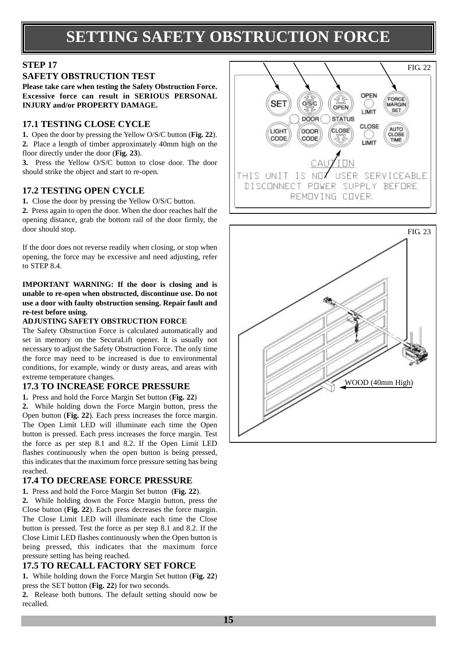### **SETTING SAFETY OBSTRUCTION FORCE**

### **STEP 17**

#### **SAFETY OBSTRUCTION TEST**

**Please take care when testing the Safety Obstruction Force. Excessive force can result in SERIOUS PERSONAL INJURY and/or PROPERTY DAMAGE.** 

#### **17.1 TESTING CLOSE CYCLE**

**1.** Open the door by pressing the Yellow O/S/C button (**Fig. 22**). **2.** Place a length of timber approximately 40mm high on the floor directly under the door (**Fig. 23**).

**3.** Press the Yellow O/S/C button to close door. The door should strike the object and start to re-open.

#### **17.2 TESTING OPEN CYCLE**

**1.** Close the door by pressing the Yellow O/S/C button.

**2.** Press again to open the door. When the door reaches half the opening distance, grab the bottom rail of the door firmly, the door should stop.

If the door does not reverse readily when closing, or stop when opening, the force may be excessive and need adjusting, refer to STEP 8.4.

**IMPORTANT WARNING: If the door is closing and is unable to re-open when obstructed, discontinue use. Do not use a door with faulty obstruction sensing. Repair fault and re-test before using.** 

#### **ADJUSTING SAFETY OBSTRUCTION FORCE**

The Safety Obstruction Force is calculated automatically and set in memory on the SecuraLift opener. It is usually not necessary to adjust the Safety Obstruction Force. The only time the force may need to be increased is due to environmental conditions, for example, windy or dusty areas, and areas with extreme temperature changes.

#### **17.3 TO INCREASE FORCE PRESSURE**

**1.** Press and hold the Force Margin Set button (**Fig. 22**)

**2.** While holding down the Force Margin button, press the Open button (**Fig. 22**). Each press increases the force margin. The Open Limit LED will illuminate each time the Open button is pressed. Each press increases the force margin. Test the force as per step 8.1 and 8.2. If the Open Limit LED flashes continuously when the open button is being pressed, this indicates that the maximum force pressure setting has being reached.

#### **17.4 TO DECREASE FORCE PRESSURE**

**1.** Press and hold the Force Margin Set button (**Fig. 22**).

**2.** While holding down the Force Margin button, press the Close button (**Fig. 22**). Each press decreases the force margin. The Close Limit LED will illuminate each time the Close button is pressed. Test the force as per step 8.1 and 8.2. If the Close Limit LED flashes continuously when the Open button is being pressed, this indicates that the maximum force pressure setting has being reached.

#### **17.5 TO RECALL FACTORY SET FORCE**

**1.** While holding down the Force Margin Set button (**Fig. 22**) press the SET button (**Fig. 22**) for two seconds.

**2.** Release both buttons. The default setting should now be recalled.



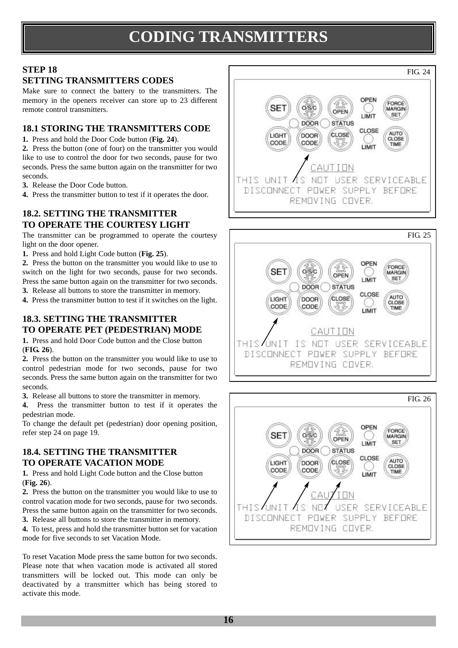# **CODING TRANSMITTERS**

### **STEP 18**

#### **SETTING TRANSMITTERS CODES**

Make sure to connect the battery to the transmitters. The memory in the openers receiver can store up to 23 different remote control transmitters.

#### **18.1 STORING THE TRANSMITTERS CODE**

**1.** Press and hold the Door Code button (**Fig. 24**).

**2.** Press the button (one of four) on the transmitter you would like to use to control the door for two seconds, pause for two seconds. Press the same button again on the transmitter for two seconds.

- **3.** Release the Door Code button.
- **4.** Press the transmitter button to test if it operates the door.

#### **18.2. SETTING THE TRANSMITTER TO OPERATE THE COURTESY LIGHT**

The transmitter can be programmed to operate the courtesy light on the door opener.

**1.** Press and hold Light Code button (**Fig. 25**).

**2.** Press the button on the transmitter you would like to use to switch on the light for two seconds, pause for two seconds. Press the same button again on the transmitter for two seconds.

- **3.** Release all buttons to store the transmitter in memory.
- **4.** Press the transmitter button to test if it switches on the light.

#### **18.3. SETTING THE TRANSMITTER TO OPERATE PET (PEDESTRIAN) MODE**

**1.** Press and hold Door Code button and the Close button (**FIG. 26**).

**2.** Press the button on the transmitter you would like to use to control pedestrian mode for two seconds, pause for two seconds. Press the same button again on the transmitter for two seconds.

**3.** Release all buttons to store the transmitter in memory.

**4.** Press the transmitter button to test if it operates the pedestrian mode.

To change the default pet (pedestrian) door opening position, refer step 24 on page 19.

#### **18.4. SETTING THE TRANSMITTER TO OPERATE VACATION MODE**

**1.** Press and hold Light Code button and the Close button (**Fig. 26**).

**2.** Press the button on the transmitter you would like to use to control vacation mode for two seconds, pause for two seconds. Press the same button again on the transmitter for two seconds.

**3.** Release all buttons to store the transmitter in memory.

**4.** To test, press and hold the transmitter button set for vacation mode for five seconds to set Vacation Mode.

To reset Vacation Mode press the same button for two seconds. Please note that when vacation mode is activated all stored transmitters will be locked out. This mode can only be deactivated by a transmitter which has being stored to activate this mode.





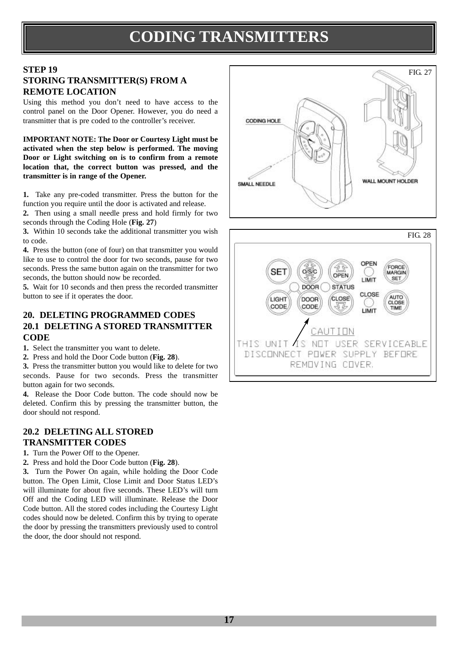### **CODING TRANSMITTERS**

#### **STEP 19 STORING TRANSMITTER(S) FROM A REMOTE LOCATION**

Using this method you don't need to have access to the control panel on the Door Opener. However, you do need a transmitter that is pre coded to the controller's receiver.

**IMPORTANT NOTE: The Door or Courtesy Light must be activated when the step below is performed. The moving Door or Light switching on is to confirm from a remote location that, the correct button was pressed, and the transmitter is in range of the Opener.** 

**1.** Take any pre-coded transmitter. Press the button for the function you require until the door is activated and release.

**2.** Then using a small needle press and hold firmly for two seconds through the Coding Hole (**Fig. 27**)

**3.** Within 10 seconds take the additional transmitter you wish to code.

**4.** Press the button (one of four) on that transmitter you would like to use to control the door for two seconds, pause for two seconds. Press the same button again on the transmitter for two seconds, the button should now be recorded.

**5.** Wait for 10 seconds and then press the recorded transmitter button to see if it operates the door.

#### **20. DELETING PROGRAMMED CODES 20.1 DELETING A STORED TRANSMITTER CODE**

**1.** Select the transmitter you want to delete.

**2.** Press and hold the Door Code button (**Fig. 28**).

**3.** Press the transmitter button you would like to delete for two seconds. Pause for two seconds. Press the transmitter button again for two seconds.

**4.** Release the Door Code button. The code should now be deleted. Confirm this by pressing the transmitter button, the door should not respond.

#### **20.2 DELETING ALL STORED TRANSMITTER CODES**

**1.** Turn the Power Off to the Opener.

**2.** Press and hold the Door Code button (**Fig. 28**).

**3.** Turn the Power On again, while holding the Door Code button. The Open Limit, Close Limit and Door Status LED's will illuminate for about five seconds. These LED's will turn Off and the Coding LED will illuminate. Release the Door Code button. All the stored codes including the Courtesy Light codes should now be deleted. Confirm this by trying to operate the door by pressing the transmitters previously used to control the door, the door should not respond.



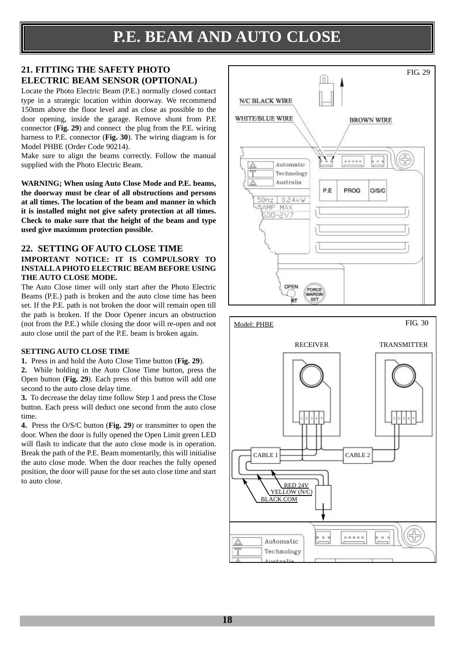### **21. FITTING THE SAFETY PHOTO ELECTRIC BEAM SENSOR (OPTIONAL)**

Locate the Photo Electric Beam (P.E.) normally closed contact type in a strategic location within doorway. We recommend 150mm above the floor level and as close as possible to the door opening, inside the garage. Remove shunt from P.E connector (**Fig. 29**) and connect the plug from the P.E. wiring harness to P.E. connector (**Fig. 30**). The wiring diagram is for Model PHBE (Order Code 90214).

Make sure to align the beams correctly. Follow the manual supplied with the Photo Electric Beam.

**WARNING; When using Auto Close Mode and P.E. beams, the doorway must be clear of all obstructions and persons at all times. The location of the beam and manner in which it is installed might not give safety protection at all times. Check to make sure that the height of the beam and type used give maximum protection possible.** 

#### **22. SETTING OF AUTO CLOSE TIME**

#### **IMPORTANT NOTICE: IT IS COMPULSORY TO INSTALLA PHOTO ELECTRIC BEAM BEFORE USING THE AUTO CLOSE MODE.**

The Auto Close timer will only start after the Photo Electric Beams (P.E.) path is broken and the auto close time has been set. If the P.E. path is not broken the door will remain open till the path is broken. If the Door Opener incurs an obstruction (not from the P.E.) while closing the door will re-open and not auto close until the part of the P.E. beam is broken again.

#### **SETTING AUTO CLOSE TIME**

**1.** Press in and hold the Auto Close Time button (**Fig. 29**).

**2.** While holding in the Auto Close Time button, press the Open button (**Fig. 29**). Each press of this button will add one second to the auto close delay time.

**3.** To decrease the delay time follow Step 1 and press the Close button. Each press will deduct one second from the auto close time.

**4.** Press the O/S/C button (**Fig. 29**) or transmitter to open the door. When the door is fully opened the Open Limit green LED will flash to indicate that the auto close mode is in operation. Break the path of the P.E. Beam momentarily, this will initialise the auto close mode. When the door reaches the fully opened position, the door will pause for the set auto close time and start to auto close.



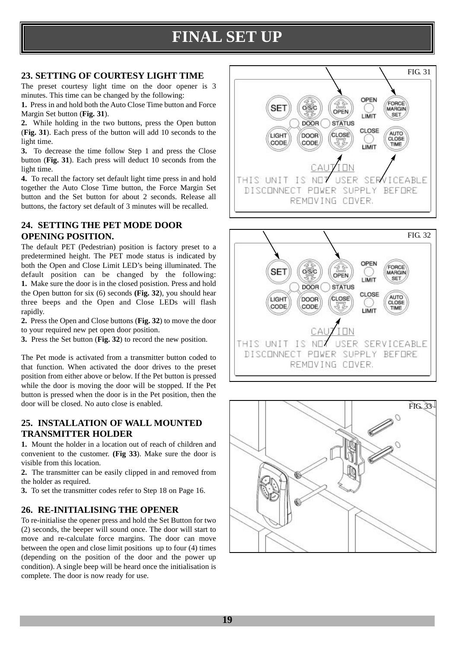# **FINAL SET UP**

#### **23. SETTING OF COURTESY LIGHT TIME**

The preset courtesy light time on the door opener is 3 minutes. This time can be changed by the following:

**1.** Press in and hold both the Auto Close Time button and Force Margin Set button (**Fig. 31**).

**2.** While holding in the two buttons, press the Open button (**Fig. 31**). Each press of the button will add 10 seconds to the light time.

**3.** To decrease the time follow Step 1 and press the Close button (**Fig. 31**). Each press will deduct 10 seconds from the light time.

**4.** To recall the factory set default light time press in and hold together the Auto Close Time button, the Force Margin Set button and the Set button for about 2 seconds. Release all buttons, the factory set default of 3 minutes will be recalled.

#### **24. SETTING THE PET MODE DOOR OPENING POSITION.**

The default PET (Pedestrian) position is factory preset to a predetermined height. The PET mode status is indicated by both the Open and Close Limit LED's being illuminated. The default position can be changed by the following: **1.** Make sure the door is in the closed posistion. Press and hold the Open button for six (6) seconds **(Fig. 32**), you should hear three beeps and the Open and Close LEDs will flash rapidly.

**2.** Press the Open and Close buttons (**Fig. 32**) to move the door to your required new pet open door position.

**3.** Press the Set button (**Fig. 32**) to record the new position.

The Pet mode is activated from a transmitter button coded to that function. When activated the door drives to the preset position from either above or below. If the Pet button is pressed while the door is moving the door will be stopped. If the Pet button is pressed when the door is in the Pet position, then the door will be closed. No auto close is enabled.

#### **25. INSTALLATION OF WALL MOUNTED TRANSMITTER HOLDER**

**1.** Mount the holder in a location out of reach of children and convenient to the customer. **(Fig 33**). Make sure the door is visible from this location.

**2.** The transmitter can be easily clipped in and removed from the holder as required.

**3.** To set the transmitter codes refer to Step 18 on Page 16.

#### **26. RE-INITIALISING THE OPENER**

To re-initialise the opener press and hold the Set Button for two (2) seconds, the beeper will sound once. The door will start to move and re-calculate force margins. The door can move between the open and close limit positions up to four (4) times (depending on the position of the door and the power up condition). A single beep will be heard once the initialisation is complete. The door is now ready for use.





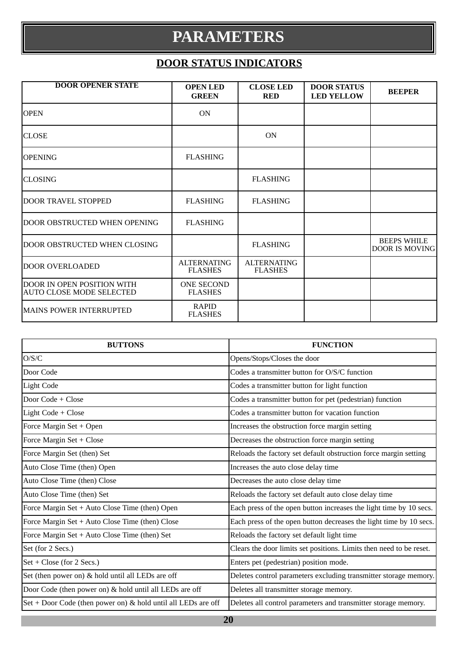### **PARAMETERS**

### **DOOR STATUS INDICATORS**

| <b>DOOR OPENER STATE</b>                                      | <b>OPEN LED</b><br><b>GREEN</b>      | <b>CLOSE LED</b><br><b>RED</b>       | <b>DOOR STATUS</b><br><b>LED YELLOW</b> | <b>BEEPER</b>                               |
|---------------------------------------------------------------|--------------------------------------|--------------------------------------|-----------------------------------------|---------------------------------------------|
| <b>OPEN</b>                                                   | ON                                   |                                      |                                         |                                             |
| <b>CLOSE</b>                                                  |                                      | <b>ON</b>                            |                                         |                                             |
| <b>OPENING</b>                                                | <b>FLASHING</b>                      |                                      |                                         |                                             |
| <b>CLOSING</b>                                                |                                      | <b>FLASHING</b>                      |                                         |                                             |
| <b>DOOR TRAVEL STOPPED</b>                                    | <b>FLASHING</b>                      | <b>FLASHING</b>                      |                                         |                                             |
| DOOR OBSTRUCTED WHEN OPENING                                  | <b>FLASHING</b>                      |                                      |                                         |                                             |
| DOOR OBSTRUCTED WHEN CLOSING                                  |                                      | <b>FLASHING</b>                      |                                         | <b>BEEPS WHILE</b><br><b>DOOR IS MOVING</b> |
| <b>DOOR OVERLOADED</b>                                        | <b>ALTERNATING</b><br><b>FLASHES</b> | <b>ALTERNATING</b><br><b>FLASHES</b> |                                         |                                             |
| DOOR IN OPEN POSITION WITH<br><b>AUTO CLOSE MODE SELECTED</b> | <b>ONE SECOND</b><br><b>FLASHES</b>  |                                      |                                         |                                             |
| <b>MAINS POWER INTERRUPTED</b>                                | <b>RAPID</b><br><b>FLASHES</b>       |                                      |                                         |                                             |

| <b>BUTTONS</b>                                                  | <b>FUNCTION</b>                                                     |
|-----------------------------------------------------------------|---------------------------------------------------------------------|
| O/S/C                                                           | Opens/Stops/Closes the door                                         |
| Door Code                                                       | Codes a transmitter button for O/S/C function                       |
| Light Code                                                      | Codes a transmitter button for light function                       |
| Door $Code + Close$                                             | Codes a transmitter button for pet (pedestrian) function            |
| Light Code $+$ Close                                            | Codes a transmitter button for vacation function                    |
| Force Margin Set + Open                                         | Increases the obstruction force margin setting                      |
| Force Margin Set + Close                                        | Decreases the obstruction force margin setting                      |
| Force Margin Set (then) Set                                     | Reloads the factory set default obstruction force margin setting    |
| Auto Close Time (then) Open                                     | Increases the auto close delay time                                 |
| Auto Close Time (then) Close                                    | Decreases the auto close delay time                                 |
| Auto Close Time (then) Set                                      | Reloads the factory set default auto close delay time               |
| Force Margin Set + Auto Close Time (then) Open                  | Each press of the open button increases the light time by 10 secs.  |
| Force Margin Set $+$ Auto Close Time (then) Close               | Each press of the open button decreases the light time by 10 secs.  |
| Force Margin Set + Auto Close Time (then) Set                   | Reloads the factory set default light time                          |
| Set (for 2 Secs.)                                               | Clears the door limits set positions. Limits then need to be reset. |
| $Set + Close$ (for 2 Secs.)                                     | Enters pet (pedestrian) position mode.                              |
| Set (then power on) & hold until all LEDs are off               | Deletes control parameters excluding transmitter storage memory.    |
| Door Code (then power on) & hold until all LEDs are off         | Deletes all transmitter storage memory.                             |
| $Set + Door Code$ (then power on) & hold until all LEDs are off | Deletes all control parameters and transmitter storage memory.      |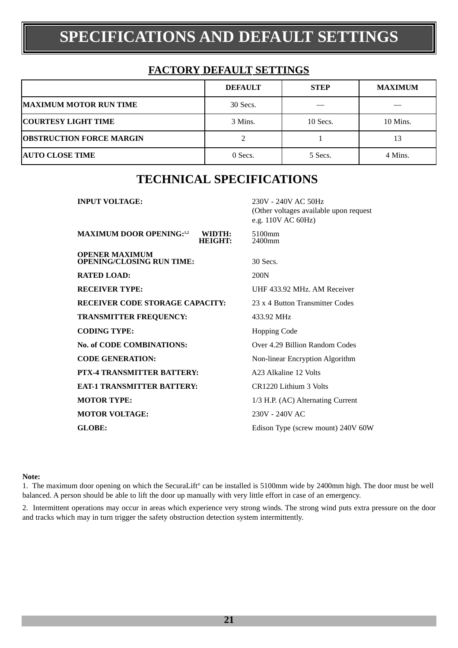# **SPECIFICATIONS AND DEFAULT SETTINGS**

### **FACTORY DEFAULT SETTINGS**

|                                 | <b>DEFAULT</b> | <b>STEP</b> | <b>MAXIMUM</b> |
|---------------------------------|----------------|-------------|----------------|
| <b>MAXIMUM MOTOR RUN TIME</b>   | 30 Secs.       |             |                |
| <b>COURTESY LIGHT TIME</b>      | 3 Mins.        | 10 Secs.    | 10 Mins.       |
| <b>OBSTRUCTION FORCE MARGIN</b> |                |             | 13             |
| <b>AUTO CLOSE TIME</b>          | 0 Secs.        | 5 Secs.     | 4 Mins.        |

### **TECHNICAL SPECIFICATIONS**

(Other voltages available upon request

**INPUT VOLTAGE:** 230V - 240V AC 50Hz

|                                                              | e.g. 110V AC 60Hz)                 |
|--------------------------------------------------------------|------------------------------------|
| <b>MAXIMUM DOOR OPENING:</b> 1,2<br>WIDTH:<br><b>HEIGHT:</b> | 5100mm<br>2400mm                   |
| <b>OPENER MAXIMUM</b><br><b>OPENING/CLOSING RUN TIME:</b>    | 30 Secs.                           |
| <b>RATED LOAD:</b>                                           | 200N                               |
| <b>RECEIVER TYPE:</b>                                        | UHF 433.92 MHz, AM Receiver        |
| <b>RECEIVER CODE STORAGE CAPACITY:</b>                       | 23 x 4 Button Transmitter Codes    |
| <b>TRANSMITTER FREQUENCY:</b>                                | 433.92 MHz                         |
| <b>CODING TYPE:</b>                                          | <b>Hopping Code</b>                |
| <b>No. of CODE COMBINATIONS:</b>                             | Over 4.29 Billion Random Codes     |
| <b>CODE GENERATION:</b>                                      | Non-linear Encryption Algorithm    |
| PTX-4 TRANSMITTER BATTERY:                                   | A23 Alkaline 12 Volts              |
| <b>EAT-1 TRANSMITTER BATTERY:</b>                            | CR1220 Lithium 3 Volts             |
| <b>MOTOR TYPE:</b>                                           | 1/3 H.P. (AC) Alternating Current  |
| <b>MOTOR VOLTAGE:</b>                                        | 230V - 240V AC                     |
| <b>GLOBE:</b>                                                | Edison Type (screw mount) 240V 60W |

#### **Note:**

1. The maximum door opening on which the SecuraLift® can be installed is 5100mm wide by 2400mm high. The door must be well balanced. A person should be able to lift the door up manually with very little effort in case of an emergency.

2. Intermittent operations may occur in areas which experience very strong winds. The strong wind puts extra pressure on the door and tracks which may in turn trigger the safety obstruction detection system intermittently.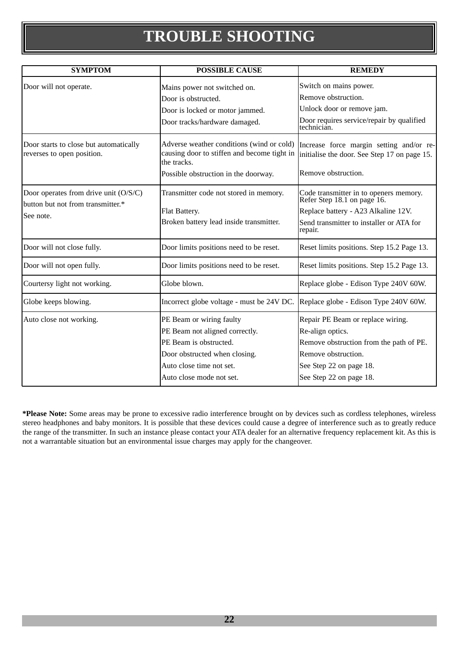# **TROUBLE SHOOTING**

| <b>SYMPTOM</b>                                                                          | <b>POSSIBLE CAUSE</b>                                                                                                                                                         | <b>REMEDY</b>                                                                                                                                                                 |
|-----------------------------------------------------------------------------------------|-------------------------------------------------------------------------------------------------------------------------------------------------------------------------------|-------------------------------------------------------------------------------------------------------------------------------------------------------------------------------|
| Door will not operate.                                                                  | Mains power not switched on.<br>Door is obstructed.<br>Door is locked or motor jammed.<br>Door tracks/hardware damaged.                                                       | Switch on mains power.<br>Remove obstruction.<br>Unlock door or remove jam.<br>Door requires service/repair by qualified<br>technician.                                       |
| Door starts to close but automatically<br>reverses to open position.                    | Adverse weather conditions (wind or cold)<br>causing door to stiffen and become tight in<br>the tracks.<br>Possible obstruction in the doorway.                               | Increase force margin setting and/or re-<br>initialise the door. See Step 17 on page 15.<br>Remove obstruction.                                                               |
| Door operates from drive unit (O/S/C)<br>button but not from transmitter.*<br>See note. | Transmitter code not stored in memory.<br>Flat Battery.<br>Broken battery lead inside transmitter.                                                                            | Code transmitter in to openers memory.<br>Refer Step 18.1 on page 16.<br>Replace battery - A23 Alkaline 12V.<br>Send transmitter to installer or ATA for<br>repair.           |
| Door will not close fully.                                                              | Door limits positions need to be reset.                                                                                                                                       | Reset limits positions. Step 15.2 Page 13.                                                                                                                                    |
| Door will not open fully.                                                               | Door limits positions need to be reset.                                                                                                                                       | Reset limits positions. Step 15.2 Page 13.                                                                                                                                    |
| Courtersy light not working.                                                            | Globe blown.                                                                                                                                                                  | Replace globe - Edison Type 240V 60W.                                                                                                                                         |
| Globe keeps blowing.                                                                    | Incorrect globe voltage - must be 24V DC.                                                                                                                                     | Replace globe - Edison Type 240V 60W.                                                                                                                                         |
| Auto close not working.                                                                 | PE Beam or wiring faulty<br>PE Beam not aligned correctly.<br>PE Beam is obstructed.<br>Door obstructed when closing.<br>Auto close time not set.<br>Auto close mode not set. | Repair PE Beam or replace wiring.<br>Re-align optics.<br>Remove obstruction from the path of PE.<br>Remove obstruction.<br>See Step 22 on page 18.<br>See Step 22 on page 18. |

**\*Please Note:** Some areas may be prone to excessive radio interference brought on by devices such as cordless telephones, wireless stereo headphones and baby monitors. It is possible that these devices could cause a degree of interference such as to greatly reduce the range of the transmitter. In such an instance please contact your ATA dealer for an alternative frequency replacement kit. As this is not a warrantable situation but an environmental issue charges may apply for the changeover.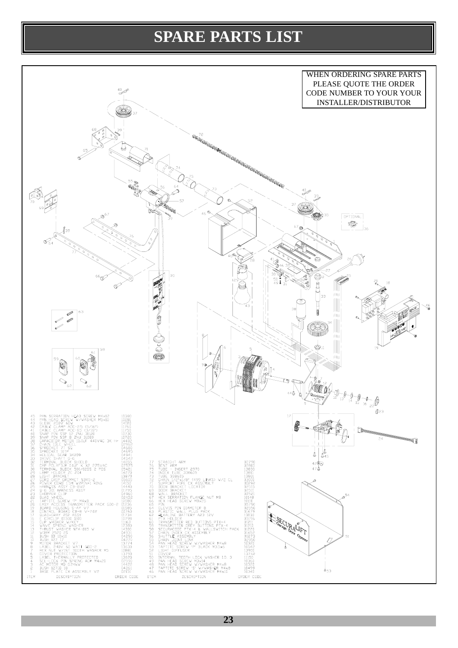### **SPARE PARTS LIST**